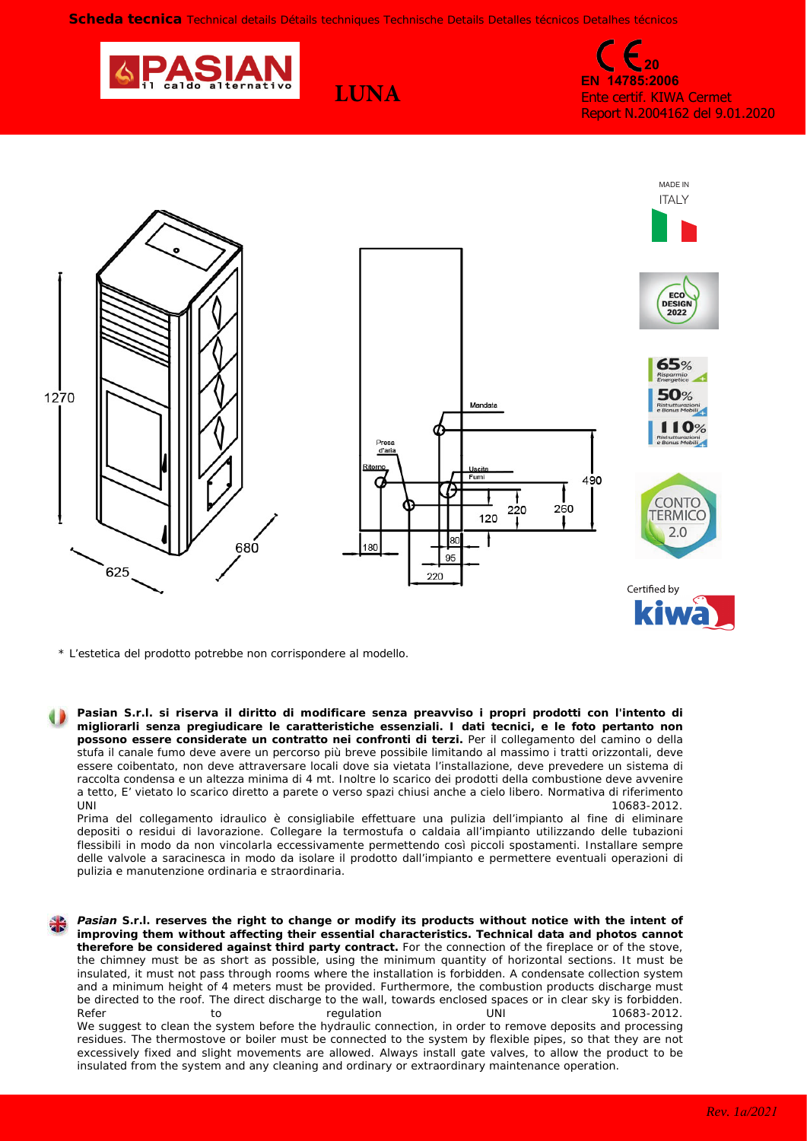**Scheda tecnica** *Technical details Détails techniques Technische Details Detalles técnicos Detalhes técnicos*

**LUNA**



**20 EN 14785:2006** Ente certif. KIWA Cermet Report N.2004162 del 9.01.2020



*\* L'estetica del prodotto potrebbe non corrispondere al modello.*

**Pasian S.r.l. si riserva il diritto di modificare senza preavviso i propri prodotti con l'intento di migliorarli senza pregiudicare le caratteristiche essenziali. I dati tecnici, e le foto pertanto non possono essere considerate un contratto nei confronti di terzi.** Per il collegamento del camino o della stufa il canale fumo deve avere un percorso più breve possibile limitando al massimo i tratti orizzontali, deve essere coibentato, non deve attraversare locali dove sia vietata l'installazione, deve prevedere un sistema di raccolta condensa e un altezza minima di 4 mt. Inoltre lo scarico dei prodotti della combustione deve avvenire a tetto, E' vietato lo scarico diretto a parete o verso spazi chiusi anche a cielo libero. Normativa di riferimento  $UNI$  10683-2012.

Prima del collegamento idraulico è consigliabile effettuare una pulizia dell'impianto al fine di eliminare depositi o residui di lavorazione. Collegare la termostufa o caldaia all'impianto utilizzando delle tubazioni flessibili in modo da non vincolarla eccessivamente permettendo così piccoli spostamenti. Installare sempre delle valvole a saracinesca in modo da isolare il prodotto dall'impianto e permettere eventuali operazioni di pulizia e manutenzione ordinaria e straordinaria.

*Pasian S.r.l. reserves the right to change or modify its products without notice with the intent of improving them without affecting their essential characteristics. Technical data and photos cannot therefore be considered against third party contract. For the connection of the fireplace or of the stove, the chimney must be as short as possible, using the minimum quantity of horizontal sections. It must be insulated, it must not pass through rooms where the installation is forbidden. A condensate collection system and a minimum height of 4 meters must be provided. Furthermore, the combustion products discharge must be directed to the roof. The direct discharge to the wall, towards enclosed spaces or in clear sky is forbidden. Refer to regulation UNI 10683-2012. We suggest to clean the system before the hydraulic connection, in order to remove deposits and processing residues. The thermostove or boiler must be connected to the system by flexible pipes, so that they are not excessively fixed and slight movements are allowed. Always install gate valves, to allow the product to be insulated from the system and any cleaning and ordinary or extraordinary maintenance operation.*